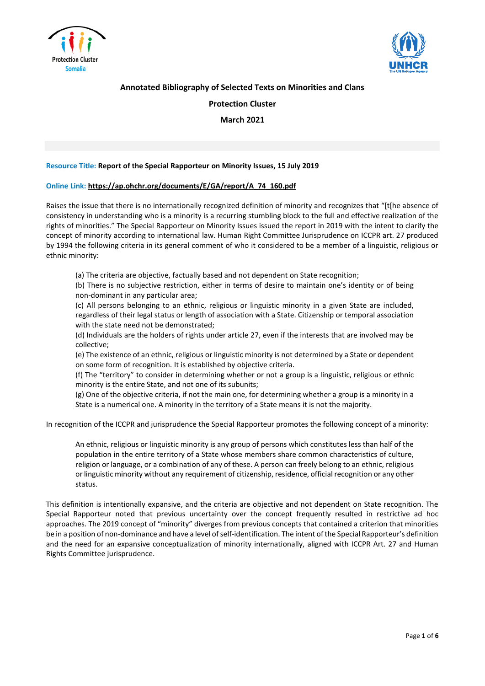



# **Annotated Bibliography of Selected Texts on Minorities and Clans**

# **Protection Cluster**

**March 2021**

## **Resource Title: Report of the Special Rapporteur on Minority Issues, 15 July 2019**

### **Online Link: [https://ap.ohchr.org/documents/E/GA/report/A\\_74\\_160.pdf](https://ap.ohchr.org/documents/E/GA/report/A_74_160.pdf)**

Raises the issue that there is no internationally recognized definition of minority and recognizes that "[t[he absence of consistency in understanding who is a minority is a recurring stumbling block to the full and effective realization of the rights of minorities." The Special Rapporteur on Minority Issues issued the report in 2019 with the intent to clarify the concept of minority according to international law. Human Right Committee Jurisprudence on ICCPR art. 27 produced by 1994 the following criteria in its general comment of who it considered to be a member of a linguistic, religious or ethnic minority:

(a) The criteria are objective, factually based and not dependent on State recognition;

(b) There is no subjective restriction, either in terms of desire to maintain one's identity or of being non-dominant in any particular area;

(c) All persons belonging to an ethnic, religious or linguistic minority in a given State are included, regardless of their legal status or length of association with a State. Citizenship or temporal association with the state need not be demonstrated;

(d) Individuals are the holders of rights under article 27, even if the interests that are involved may be collective;

(e) The existence of an ethnic, religious or linguistic minority is not determined by a State or dependent on some form of recognition. It is established by objective criteria.

(f) The "territory" to consider in determining whether or not a group is a linguistic, religious or ethnic minority is the entire State, and not one of its subunits;

(g) One of the objective criteria, if not the main one, for determining whether a group is a minority in a State is a numerical one. A minority in the territory of a State means it is not the majority.

In recognition of the ICCPR and jurisprudence the Special Rapporteur promotes the following concept of a minority:

An ethnic, religious or linguistic minority is any group of persons which constitutes less than half of the population in the entire territory of a State whose members share common characteristics of culture, religion or language, or a combination of any of these. A person can freely belong to an ethnic, religious or linguistic minority without any requirement of citizenship, residence, official recognition or any other status.

This definition is intentionally expansive, and the criteria are objective and not dependent on State recognition. The Special Rapporteur noted that previous uncertainty over the concept frequently resulted in restrictive ad hoc approaches. The 2019 concept of "minority" diverges from previous concepts that contained a criterion that minorities be in a position of non-dominance and have a level of self-identification. The intent of the Special Rapporteur's definition and the need for an expansive conceptualization of minority internationally, aligned with ICCPR Art. 27 and Human Rights Committee jurisprudence.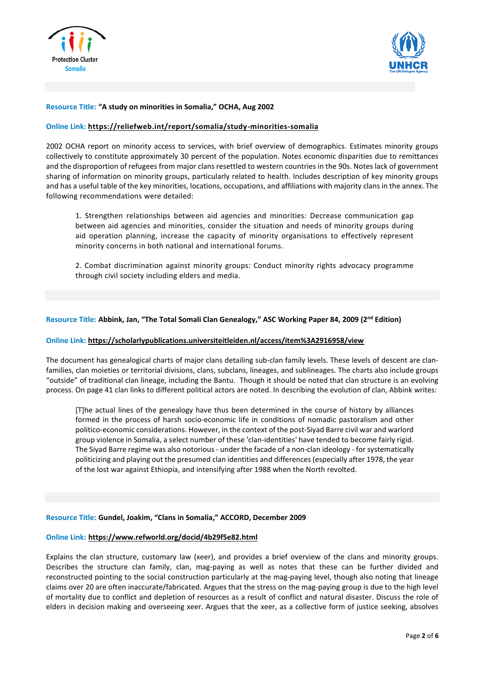



## **Resource Title: "A study on minorities in Somalia," OCHA, Aug 2002**

## **Online Link: <https://reliefweb.int/report/somalia/study-minorities-somalia>**

2002 OCHA report on minority access to services, with brief overview of demographics. Estimates minority groups collectively to constitute approximately 30 percent of the population. Notes economic disparities due to remittances and the disproportion of refugees from major clans resettled to western countries in the 90s. Notes lack of government sharing of information on minority groups, particularly related to health. Includes description of key minority groups and has a useful table of the key minorities, locations, occupations, and affiliations with majority clans in the annex. The following recommendations were detailed:

1. Strengthen relationships between aid agencies and minorities: Decrease communication gap between aid agencies and minorities, consider the situation and needs of minority groups during aid operation planning, increase the capacity of minority organisations to effectively represent minority concerns in both national and international forums.

2. Combat discrimination against minority groups: Conduct minority rights advocacy programme through civil society including elders and media.

## Resource Title: Abbink, Jan, "The Total Somali Clan Genealogy," ASC Working Paper 84, 2009 (2<sup>nd</sup> Edition)

## **Online Link: <https://scholarlypublications.universiteitleiden.nl/access/item%3A2916958/view>**

The document has genealogical charts of major clans detailing sub-clan family levels. These levels of descent are clanfamilies, clan moieties or territorial divisions, clans, subclans, lineages, and sublineages. The charts also include groups "outside" of traditional clan lineage, including the Bantu. Though it should be noted that clan structure is an evolving process. On page 41 clan links to different political actors are noted. In describing the evolution of clan, Abbink writes:

[T]he actual lines of the genealogy have thus been determined in the course of history by alliances formed in the process of harsh socio-economic life in conditions of nomadic pastoralism and other politico-economic considerations. However, in the context of the post-Siyad Barre civil war and warlord group violence in Somalia, a select number of these 'clan-identities' have tended to become fairly rigid. The Siyad Barre regime was also notorious - under the facade of a non-clan ideology - for systematically politicizing and playing out the presumed clan identities and differences (especially after 1978, the year of the lost war against Ethiopia, and intensifying after 1988 when the North revolted.

### **Resource Title: Gundel, Joakim, "Clans in Somalia," ACCORD, December 2009**

## **Online Link: <https://www.refworld.org/docid/4b29f5e82.html>**

Explains the clan structure, customary law (xeer), and provides a brief overview of the clans and minority groups. Describes the structure clan family, clan, mag-paying as well as notes that these can be further divided and reconstructed pointing to the social construction particularly at the mag-paying level, though also noting that lineage claims over 20 are often inaccurate/fabricated. Argues that the stress on the mag-paying group is due to the high level of mortality due to conflict and depletion of resources as a result of conflict and natural disaster. Discuss the role of elders in decision making and overseeing xeer. Argues that the xeer, as a collective form of justice seeking, absolves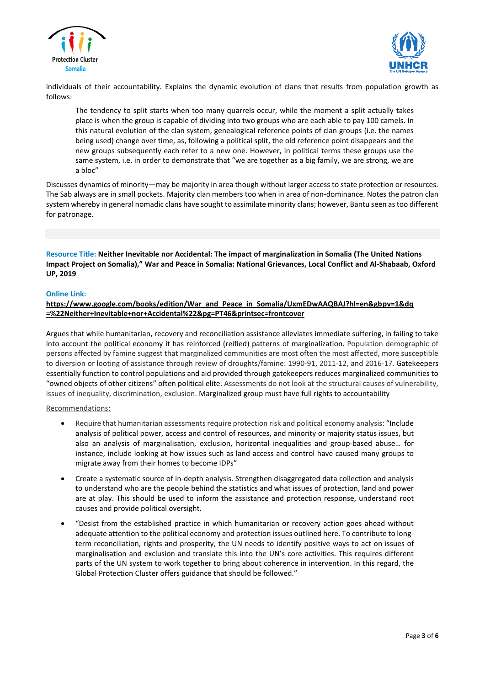



individuals of their accountability. Explains the dynamic evolution of clans that results from population growth as follows:

The tendency to split starts when too many quarrels occur, while the moment a split actually takes place is when the group is capable of dividing into two groups who are each able to pay 100 camels. In this natural evolution of the clan system, genealogical reference points of clan groups (i.e. the names being used) change over time, as, following a political split, the old reference point disappears and the new groups subsequently each refer to a new one. However, in political terms these groups use the same system, i.e. in order to demonstrate that "we are together as a big family, we are strong, we are a bloc"

Discusses dynamics of minority—may be majority in area though without larger access to state protection or resources. The Sab always are in small pockets. Majority clan members too when in area of non-dominance. Notes the patron clan system whereby in general nomadic clans have sought to assimilate minority clans; however, Bantu seen astoo different for patronage.

**Resource Title: Neither Inevitable nor Accidental: The impact of marginalization in Somalia (The United Nations** Impact Project on Somalia)," War and Peace in Somalia: National Grievances, Local Conflict and Al-Shabaab, Oxford **UP, 2019**

# **Online Link:**

# **[https://www.google.com/books/edition/War\\_and\\_Peace\\_in\\_Somalia/UxmEDwAAQBAJ?hl=en&gbpv=1&dq](https://www.google.com/books/edition/War_and_Peace_in_Somalia/UxmEDwAAQBAJ?hl=en&gbpv=1&dq=%22Neither+Inevitable+nor+Accidental%22&pg=PT46&printsec=frontcover) [=%22Neither+Inevitable+nor+Accidental%22&pg=PT46&printsec=frontcover](https://www.google.com/books/edition/War_and_Peace_in_Somalia/UxmEDwAAQBAJ?hl=en&gbpv=1&dq=%22Neither+Inevitable+nor+Accidental%22&pg=PT46&printsec=frontcover)**

Argues that while humanitarian, recovery and reconciliation assistance alleviates immediate suffering, in failing to take into account the political economy it has reinforced (reified) patterns of marginalization. Population demographic of persons affected by famine suggest that marginalized communities are most often the most affected, more susceptible to diversion or looting of assistance through review of droughts/famine: 1990-91, 2011-12, and 2016-17. Gatekeepers essentially function to control populations and aid provided through gatekeepers reduces marginalized communities to "owned objects of other citizens" often political elite. Assessments do not look at the structural causes of vulnerability, issues of inequality, discrimination, exclusion. Marginalized group must have full rights to accountability

Recommendations:

- Require that humanitarian assessments require protection risk and political economy analysis: "Include analysis of political power, access and control of resources, and minority or majority status issues, but also an analysis of marginalisation, exclusion, horizontal inequalities and group-based abuse… for instance, include looking at how issues such as land access and control have caused many groups to migrate away from their homes to become IDPs"
- Create a systematic source of in-depth analysis. Strengthen disaggregated data collection and analysis to understand who are the people behind the statistics and what issues of protection, land and power are at play. This should be used to inform the assistance and protection response, understand root causes and provide political oversight.
- "Desist from the established practice in which humanitarian or recovery action goes ahead without adequate attention to the political economy and protection issues outlined here. To contribute to longterm reconciliation, rights and prosperity, the UN needs to identify positive ways to act on issues of marginalisation and exclusion and translate this into the UN's core activities. This requires different parts of the UN system to work together to bring about coherence in intervention. In this regard, the Global Protection Cluster offers guidance that should be followed."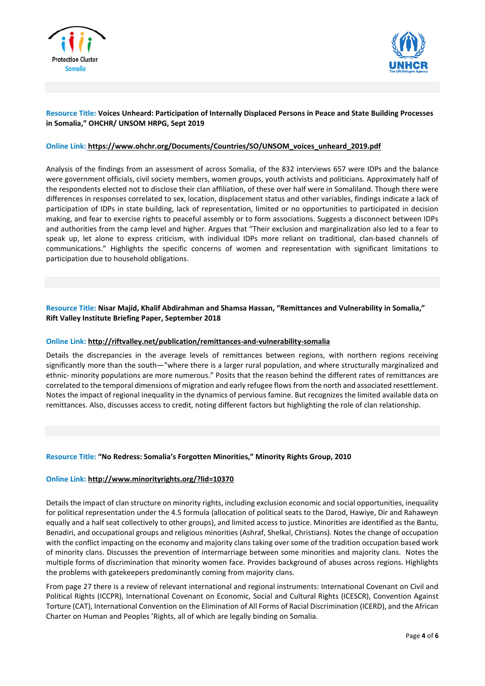



# **Resource Title: Voices Unheard: Participation of Internally Displaced Persons in Peace and State Building Processes in Somalia," OHCHR/ UNSOM HRPG, Sept 2019**

## **Online Link: [https://www.ohchr.org/Documents/Countries/SO/UNSOM\\_voices\\_unheard\\_2019.pdf](https://www.ohchr.org/Documents/Countries/SO/UNSOM_voices_unheard_2019.pdf)**

Analysis of the findings from an assessment of across Somalia, of the 832 interviews 657 were IDPs and the balance were government officials, civil society members, women groups, youth activists and politicians. Approximately half of the respondents elected not to disclose their clan affiliation, of these over half were in Somaliland. Though there were differences in responses correlated to sex, location, displacement status and other variables, findings indicate a lack of participation of IDPs in state building, lack of representation, limited or no opportunities to participated in decision making, and fear to exercise rights to peaceful assembly or to form associations. Suggests a disconnect between IDPs and authorities from the camp level and higher. Argues that "Their exclusion and marginalization also led to a fear to speak up, let alone to express criticism, with individual IDPs more reliant on traditional, clan-based channels of communications." Highlights the specific concerns of women and representation with significant limitations to participation due to household obligations.

# **Resource Title: Nisar Majid, Khalif Abdirahman and Shamsa Hassan, "Remittances and Vulnerability in Somalia," Rift Valley Institute Briefing Paper, September 2018**

## **Online Link: <http://riftvalley.net/publication/remittances-and-vulnerability-somalia>**

Details the discrepancies in the average levels of remittances between regions, with northern regions receiving significantly more than the south—"where there is a larger rural population, and where structurally marginalized and ethnic- minority populations are more numerous." Posits that the reason behind the different rates of remittances are correlated to the temporal dimensions of migration and early refugee flowsfrom the north and associated resettlement. Notes the impact of regional inequality in the dynamics of pervious famine. But recognizes the limited available data on remittances. Also, discusses access to credit, noting different factors but highlighting the role of clan relationship.

### **Resource Title: "No Redress: Somalia's Forgotten Minorities," Minority Rights Group, 2010**

### **Online Link: <http://www.minorityrights.org/?lid=10370>**

Details the impact of clan structure on minority rights, including exclusion economic and social opportunities, inequality for political representation under the 4.5 formula (allocation of political seats to the Darod, Hawiye, Dir and Rahaweyn equally and a half seat collectively to other groups), and limited access to justice. Minorities are identified as the Bantu, Benadiri, and occupational groups and religious minorities (Ashraf, Shelkal, Christians). Notes the change of occupation with the conflict impacting on the economy and majority clans taking over some of the tradition occupation based work of minority clans. Discusses the prevention of intermarriage between some minorities and majority clans. Notes the multiple forms of discrimination that minority women face. Provides background of abuses across regions. Highlights the problems with gatekeepers predominantly coming from majority clans.

From page 27 there is a review of relevant international and regional instruments: International Covenant on Civil and Political Rights (ICCPR), International Covenant on Economic, Social and Cultural Rights (ICESCR), Convention Against Torture (CAT), International Convention on the Elimination of All Forms of Racial Discrimination (ICERD), and the African Charter on Human and Peoples 'Rights, all of which are legally binding on Somalia.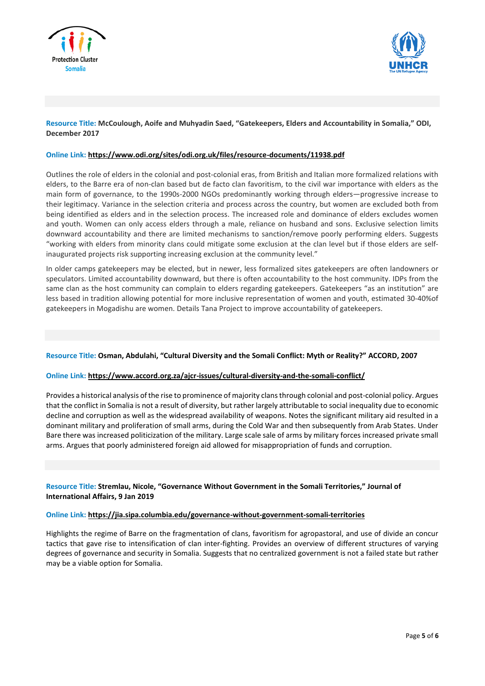



# **Resource Title: McCoulough, Aoife and Muhyadin Saed, "Gatekeepers, Elders and Accountability in Somalia," ODI, December 2017**

## **Online Link: <https://www.odi.org/sites/odi.org.uk/files/resource-documents/11938.pdf>**

Outlines the role of elders in the colonial and post-colonial eras, from British and Italian more formalized relations with elders, to the Barre era of non-clan based but de facto clan favoritism, to the civil war importance with elders as the main form of governance, to the 1990s-2000 NGOs predominantly working through elders—progressive increase to their legitimacy. Variance in the selection criteria and process across the country, but women are excluded both from being identified as elders and in the selection process. The increased role and dominance of elders excludes women and youth. Women can only access elders through a male, reliance on husband and sons. Exclusive selection limits downward accountability and there are limited mechanisms to sanction/remove poorly performing elders. Suggests "working with elders from minority clans could mitigate some exclusion at the clan level but if those elders are selfinaugurated projects risk supporting increasing exclusion at the community level."

In older camps gatekeepers may be elected, but in newer, less formalized sites gatekeepers are often landowners or speculators. Limited accountability downward, but there is often accountability to the host community. IDPs from the same clan as the host community can complain to elders regarding gatekeepers. Gatekeepers "as an institution" are less based in tradition allowing potential for more inclusive representation of women and youth, estimated 30-40%of gatekeepers in Mogadishu are women. Details Tana Project to improve accountability of gatekeepers.

### **Resource Title: Osman, Abdulahi, "Cultural Diversity and the Somali Conflict: Myth or Reality?" ACCORD, 2007**

## **Online Link: <https://www.accord.org.za/ajcr-issues/cultural-diversity-and-the-somali-conflict/>**

Provides a historical analysis of the rise to prominence of majority clans through colonial and post-colonial policy. Argues that the conflict in Somalia is not a result of diversity, but rather largely attributable to social inequality due to economic decline and corruption as well as the widespread availability of weapons. Notes the significant military aid resulted in a dominant military and proliferation of small arms, during the Cold War and then subsequently from Arab States. Under Bare there was increased politicization of the military. Large scale sale of arms by military forces increased private small arms. Argues that poorly administered foreign aid allowed for misappropriation of funds and corruption.

**Resource Title: Stremlau, Nicole, "Governance Without Government in the Somali Territories," Journal of International Affairs, 9 Jan 2019**

### **Online Link: <https://jia.sipa.columbia.edu/governance-without-government-somali-territories>**

Highlights the regime of Barre on the fragmentation of clans, favoritism for agropastoral, and use of divide an concur tactics that gave rise to intensification of clan inter-fighting. Provides an overview of different structures of varying degrees of governance and security in Somalia. Suggests that no centralized government is not a failed state but rather may be a viable option for Somalia.